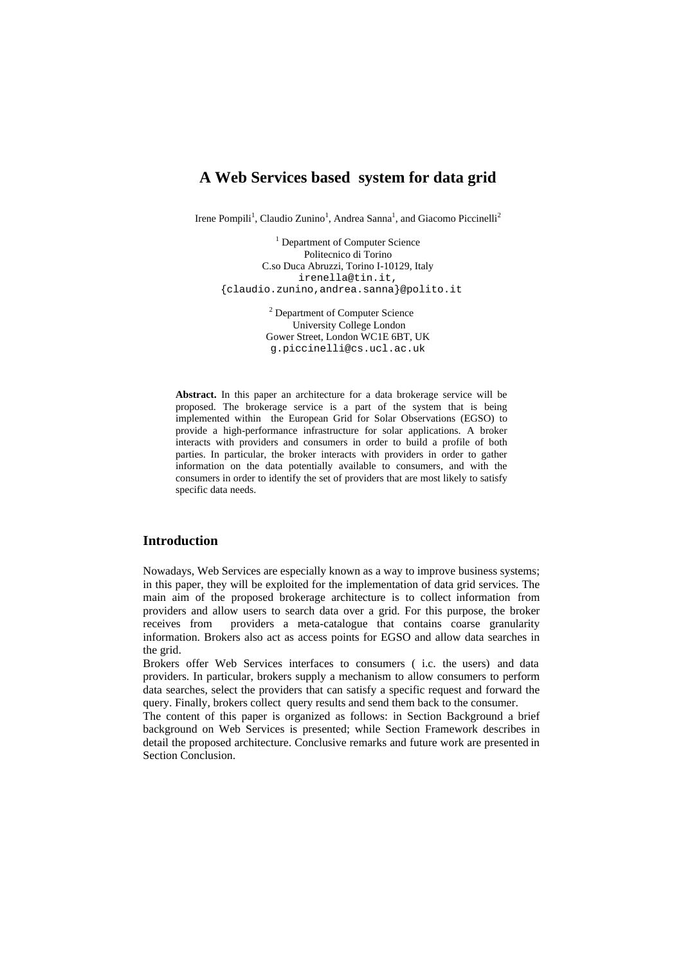# **A Web Services based system for data grid**

Irene Pompili<sup>1</sup>, Claudio Zunino<sup>1</sup>, Andrea Sanna<sup>1</sup>, and Giacomo Piccinelli<sup>2</sup>

 $<sup>1</sup>$  Department of Computer Science</sup> Politecnico di Torino C.so Duca Abruzzi, Torino I-10129, Italy irenella@tin.it, {claudio.zunino,andrea.sanna}@polito.it

> <sup>2</sup> Department of Computer Science University College London Gower Street, London WC1E 6BT, UK g.piccinelli@cs.ucl.ac.uk

**Abstract.** In this paper an architecture for a data brokerage service will be proposed. The brokerage service is a part of the system that is being implemented within the European Grid for Solar Observations (EGSO) to provide a high-performance infrastructure for solar applications. A broker interacts with providers and consumers in order to build a profile of both parties. In particular, the broker interacts with providers in order to gather information on the data potentially available to consumers, and with the consumers in order to identify the set of providers that are most likely to satisfy specific data needs.

# **Introduction**

Nowadays, Web Services are especially known as a way to improve business systems; in this paper, they will be exploited for the implementation of data grid services. The main aim of the proposed brokerage architecture is to collect information from providers and allow users to search data over a grid. For this purpose, the broker receives from providers a meta-catalogue that contains coarse granularity information. Brokers also act as access points for EGSO and allow data searches in the grid.

Brokers offer Web Services interfaces to consumers ( i.c. the users) and data providers. In particular, brokers supply a mechanism to allow consumers to perform data searches, select the providers that can satisfy a specific request and forward the query. Finally, brokers collect query results and send them back to the consumer.

The content of this paper is organized as follows: in Section Background a brief background on Web Services is presented; while Section Framework describes in detail the proposed architecture. Conclusive remarks and future work are presented in Section Conclusion.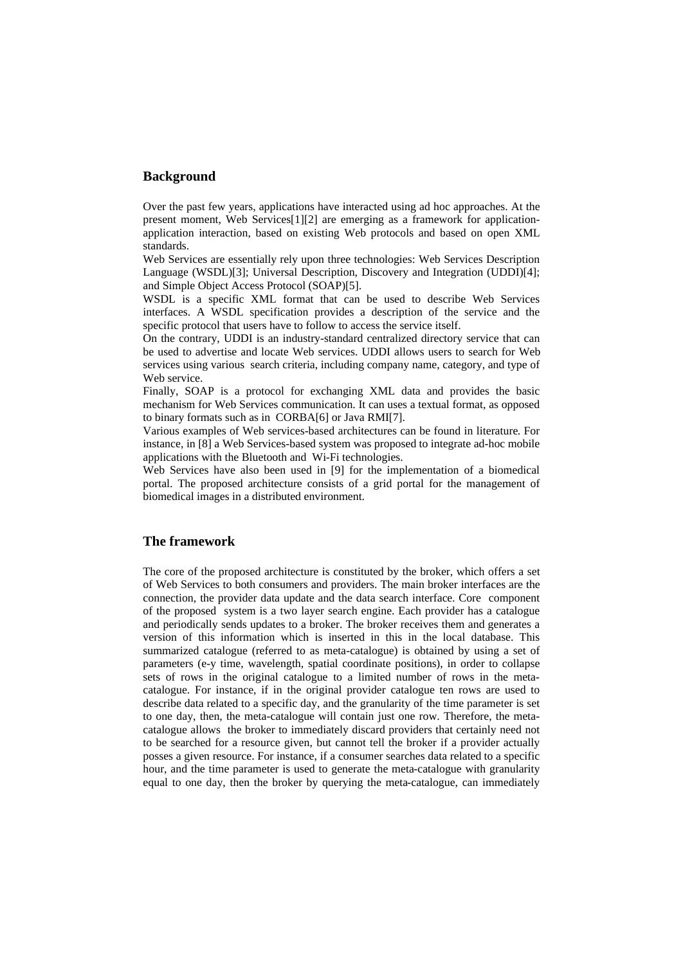#### **Background**

Over the past few years, applications have interacted using ad hoc approaches. At the present moment, Web Services[1][2] are emerging as a framework for applicationapplication interaction, based on existing Web protocols and based on open XML standards.

Web Services are essentially rely upon three technologies: Web Services Description Language (WSDL)[3]; Universal Description, Discovery and Integration (UDDI)[4]; and Simple Object Access Protocol (SOAP)[5].

WSDL is a specific XML format that can be used to describe Web Services interfaces. A WSDL specification provides a description of the service and the specific protocol that users have to follow to access the service itself.

On the contrary, UDDI is an industry-standard centralized directory service that can be used to advertise and locate Web services. UDDI allows users to search for Web services using various search criteria, including company name, category, and type of Web service.

Finally, SOAP is a protocol for exchanging XML data and provides the basic mechanism for Web Services communication. It can uses a textual format, as opposed to binary formats such as in CORBA[6] or Java RMI[7].

Various examples of Web services-based architectures can be found in literature. For instance, in [8] a Web Services-based system was proposed to integrate ad-hoc mobile applications with the Bluetooth and Wi-Fi technologies.

Web Services have also been used in [9] for the implementation of a biomedical portal. The proposed architecture consists of a grid portal for the management of biomedical images in a distributed environment.

## **The framework**

The core of the proposed architecture is constituted by the broker, which offers a set of Web Services to both consumers and providers. The main broker interfaces are the connection, the provider data update and the data search interface. Core component of the proposed system is a two layer search engine. Each provider has a catalogue and periodically sends updates to a broker. The broker receives them and generates a version of this information which is inserted in this in the local database. This summarized catalogue (referred to as meta-catalogue) is obtained by using a set of parameters (e-y time, wavelength, spatial coordinate positions), in order to collapse sets of rows in the original catalogue to a limited number of rows in the metacatalogue. For instance, if in the original provider catalogue ten rows are used to describe data related to a specific day, and the granularity of the time parameter is set to one day, then, the meta-catalogue will contain just one row. Therefore, the metacatalogue allows the broker to immediately discard providers that certainly need not to be searched for a resource given, but cannot tell the broker if a provider actually posses a given resource. For instance, if a consumer searches data related to a specific hour, and the time parameter is used to generate the meta-catalogue with granularity equal to one day, then the broker by querying the meta-catalogue, can immediately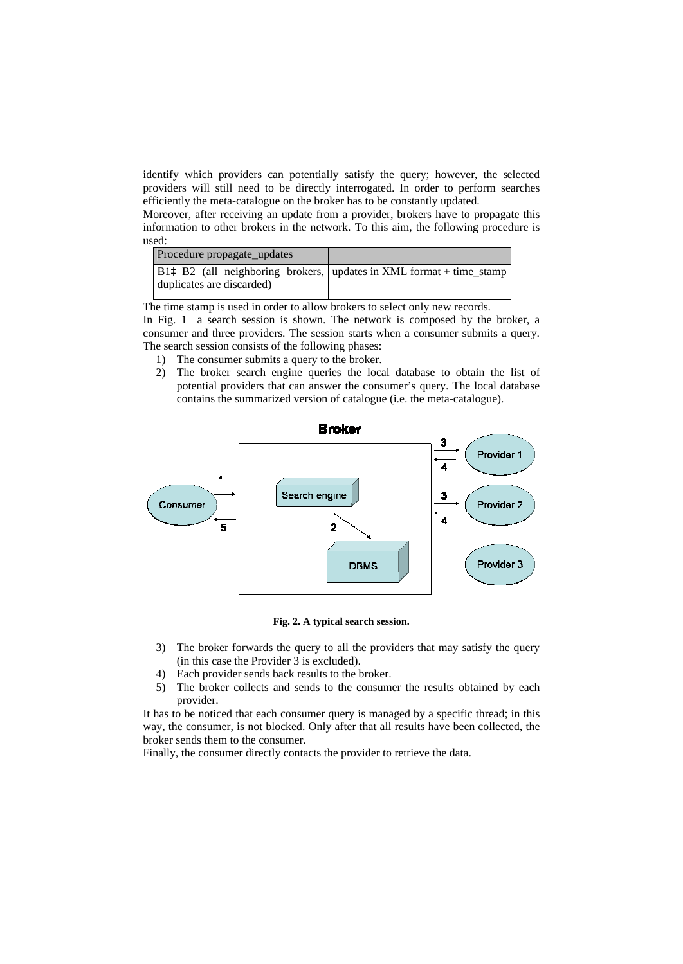identify which providers can potentially satisfy the query; however, the selected providers will still need to be directly interrogated. In order to perform searches efficiently the meta-catalogue on the broker has to be constantly updated.

Moreover, after receiving an update from a provider, brokers have to propagate this information to other brokers in the network. To this aim, the following procedure is used:

| Procedure propagate_updates |                                                                                                    |
|-----------------------------|----------------------------------------------------------------------------------------------------|
| duplicates are discarded)   | B1 $\hat{\theta}$ B1 $\hat{\theta}$ 2 (all neighboring brokers, updates in XML format + time_stamp |

The time stamp is used in order to allow brokers to select only new records.

In Fig. 1 a search session is shown. The network is composed by the broker, a consumer and three providers. The session starts when a consumer submits a query. The search session consists of the following phases:

- 1) The consumer submits a query to the broker.
- 2) The broker search engine queries the local database to obtain the list of potential providers that can answer the consumer's query. The local database contains the summarized version of catalogue (i.e. the meta-catalogue).



**Fig. 2. A typical search session.**

- 3) The broker forwards the query to all the providers that may satisfy the query (in this case the Provider 3 is excluded).
- 4) Each provider sends back results to the broker.
- 5) The broker collects and sends to the consumer the results obtained by each provider.

It has to be noticed that each consumer query is managed by a specific thread; in this way, the consumer, is not blocked. Only after that all results have been collected, the broker sends them to the consumer.

Finally, the consumer directly contacts the provider to retrieve the data.